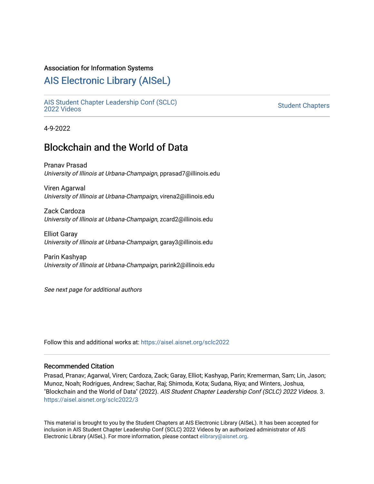#### Association for Information Systems

# [AIS Electronic Library \(AISeL\)](https://aisel.aisnet.org/)

[AIS Student Chapter Leadership Conf \(SCLC\)](https://aisel.aisnet.org/sclc2022)  Student Chapters<br>[2022 Videos](https://aisel.aisnet.org/sclc2022)

4-9-2022

# Blockchain and the World of Data

Pranav Prasad University of Illinois at Urbana-Champaign, pprasad7@illinois.edu

Viren Agarwal University of Illinois at Urbana-Champaign, virena2@illinois.edu

Zack Cardoza University of Illinois at Urbana-Champaign, zcard2@illinois.edu

Elliot Garay University of Illinois at Urbana-Champaign, garay3@illinois.edu

Parin Kashyap University of Illinois at Urbana-Champaign, parink2@illinois.edu

See next page for additional authors

Follow this and additional works at: [https://aisel.aisnet.org/sclc2022](https://aisel.aisnet.org/sclc2022?utm_source=aisel.aisnet.org%2Fsclc2022%2F3&utm_medium=PDF&utm_campaign=PDFCoverPages) 

#### Recommended Citation

Prasad, Pranav; Agarwal, Viren; Cardoza, Zack; Garay, Elliot; Kashyap, Parin; Kremerman, Sam; Lin, Jason; Munoz, Noah; Rodrigues, Andrew; Sachar, Raj; Shimoda, Kota; Sudana, Riya; and Winters, Joshua, "Blockchain and the World of Data" (2022). AIS Student Chapter Leadership Conf (SCLC) 2022 Videos. 3. [https://aisel.aisnet.org/sclc2022/3](https://aisel.aisnet.org/sclc2022/3?utm_source=aisel.aisnet.org%2Fsclc2022%2F3&utm_medium=PDF&utm_campaign=PDFCoverPages)

This material is brought to you by the Student Chapters at AIS Electronic Library (AISeL). It has been accepted for inclusion in AIS Student Chapter Leadership Conf (SCLC) 2022 Videos by an authorized administrator of AIS Electronic Library (AISeL). For more information, please contact [elibrary@aisnet.org.](mailto:elibrary@aisnet.org%3E)